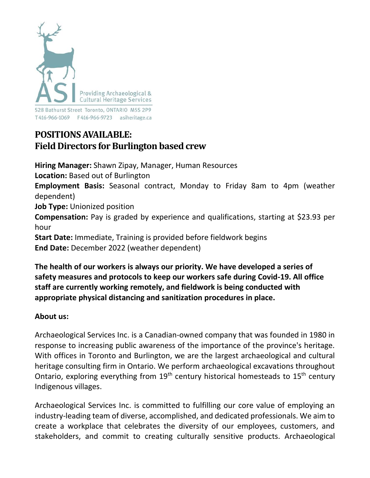

528 Bathurst Street Toronto, ONTARIO M5S 2P9 

# **POSITIONSAVAILABLE: Field Directors for Burlington based crew**

**Hiring Manager:** Shawn Zipay, Manager, Human Resources **Location:** Based out of Burlington **Employment Basis:** Seasonal contract, Monday to Friday 8am to 4pm (weather dependent) **Job Type:** Unionized position **Compensation:** Pay is graded by experience and qualifications, starting at \$23.93 per hour **Start Date:** Immediate, Training is provided before fieldwork begins **End Date:** December 2022 (weather dependent)

**The health of our workers is always our priority. We have developed a series of safety measures and protocols to keep our workers safe during Covid-19. All office staff are currently working remotely, and fieldwork is being conducted with appropriate physical distancing and sanitization procedures in place.**

# **About us:**

Archaeological Services Inc. is a Canadian-owned company that was founded in 1980 in response to increasing public awareness of the importance of the province's heritage. With offices in Toronto and Burlington, we are the largest archaeological and cultural heritage consulting firm in Ontario. We perform archaeological excavations throughout Ontario, exploring everything from  $19<sup>th</sup>$  century historical homesteads to  $15<sup>th</sup>$  century Indigenous villages.

Archaeological Services Inc. is committed to fulfilling our core value of employing an industry-leading team of diverse, accomplished, and dedicated professionals. We aim to create a workplace that celebrates the diversity of our employees, customers, and stakeholders, and commit to creating culturally sensitive products. Archaeological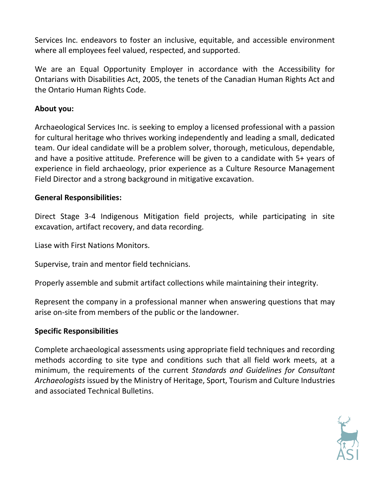Services Inc. endeavors to foster an inclusive, equitable, and accessible environment where all employees feel valued, respected, and supported.

We are an Equal Opportunity Employer in accordance with the Accessibility for Ontarians with Disabilities Act, 2005, the tenets of the Canadian Human Rights Act and the Ontario Human Rights Code.

### **About you:**

Archaeological Services Inc. is seeking to employ a licensed professional with a passion for cultural heritage who thrives working independently and leading a small, dedicated team. Our ideal candidate will be a problem solver, thorough, meticulous, dependable, and have a positive attitude. Preference will be given to a candidate with 5+ years of experience in field archaeology, prior experience as a Culture Resource Management Field Director and a strong background in mitigative excavation.

## **General Responsibilities:**

Direct Stage 3-4 Indigenous Mitigation field projects, while participating in site excavation, artifact recovery, and data recording.

Liase with First Nations Monitors.

Supervise, train and mentor field technicians.

Properly assemble and submit artifact collections while maintaining their integrity.

Represent the company in a professional manner when answering questions that may arise on-site from members of the public or the landowner.

#### **Specific Responsibilities**

Complete archaeological assessments using appropriate field techniques and recording methods according to site type and conditions such that all field work meets, at a minimum, the requirements of the current *Standards and Guidelines for Consultant Archaeologists* issued by the Ministry of Heritage, Sport, Tourism and Culture Industries and associated Technical Bulletins.